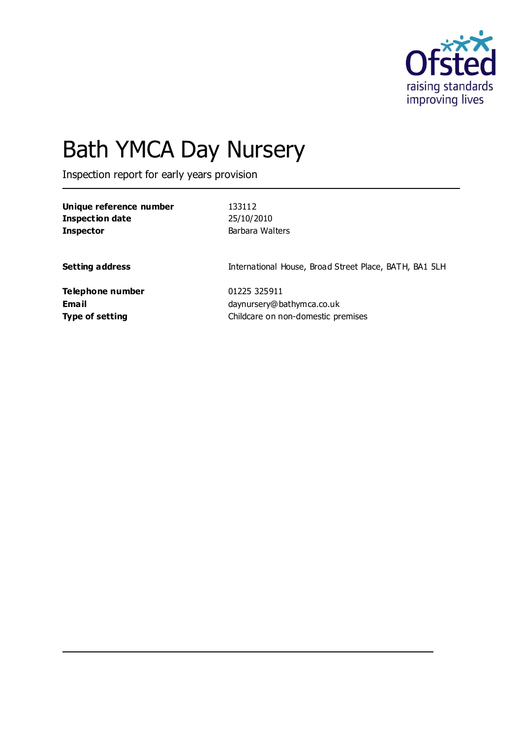

# Bath YMCA Day Nursery

Inspection report for early years provision

| Unique reference number | 133112          |
|-------------------------|-----------------|
| Inspection date         | 25/10/2010      |
| <b>Inspector</b>        | Barbara Walters |

**Setting address International House, Broad Street Place, BATH, BA1 5LH** 

**Telephone number** 01225 325911

**Email** daynursery@bathymca.co.uk **Type of setting** Childcare on non-domestic premises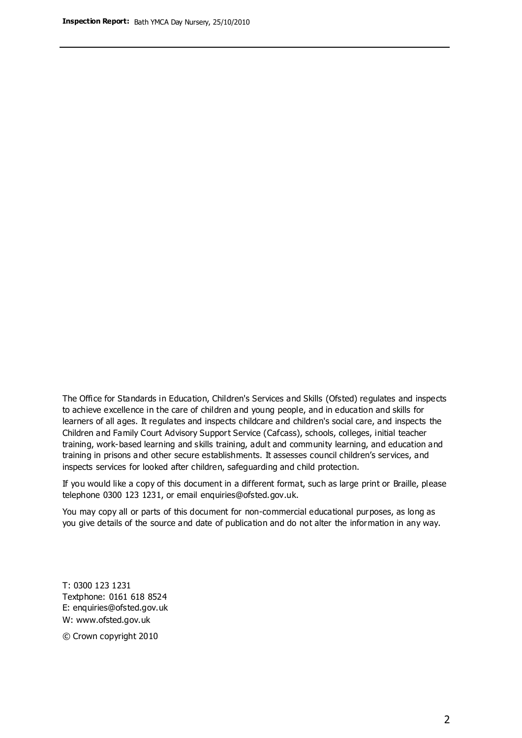The Office for Standards in Education, Children's Services and Skills (Ofsted) regulates and inspects to achieve excellence in the care of children and young people, and in education and skills for learners of all ages. It regulates and inspects childcare and children's social care, and inspects the Children and Family Court Advisory Support Service (Cafcass), schools, colleges, initial teacher training, work-based learning and skills training, adult and community learning, and education and training in prisons and other secure establishments. It assesses council children's services, and inspects services for looked after children, safeguarding and child protection.

If you would like a copy of this document in a different format, such as large print or Braille, please telephone 0300 123 1231, or email enquiries@ofsted.gov.uk.

You may copy all or parts of this document for non-commercial educational purposes, as long as you give details of the source and date of publication and do not alter the information in any way.

T: 0300 123 1231 Textphone: 0161 618 8524 E: enquiries@ofsted.gov.uk W: [www.ofsted.gov.uk](http://www.ofsted.gov.uk/)

© Crown copyright 2010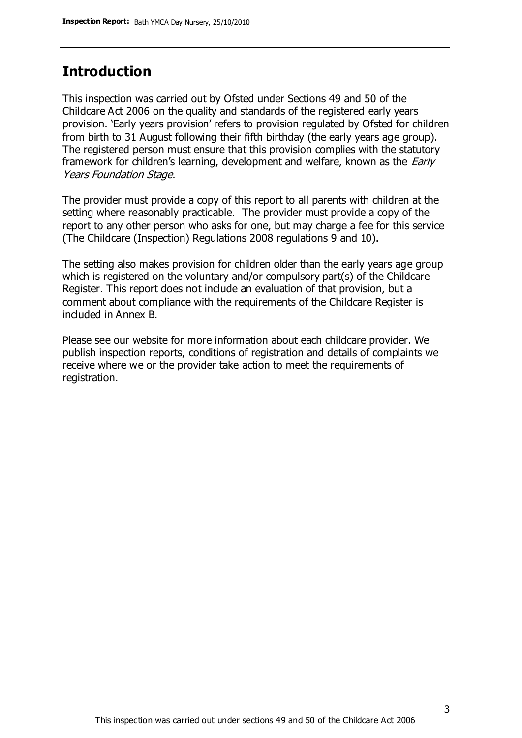### **Introduction**

This inspection was carried out by Ofsted under Sections 49 and 50 of the Childcare Act 2006 on the quality and standards of the registered early years provision. 'Early years provision' refers to provision regulated by Ofsted for children from birth to 31 August following their fifth birthday (the early years age group). The registered person must ensure that this provision complies with the statutory framework for children's learning, development and welfare, known as the *Early* Years Foundation Stage.

The provider must provide a copy of this report to all parents with children at the setting where reasonably practicable. The provider must provide a copy of the report to any other person who asks for one, but may charge a fee for this service (The Childcare (Inspection) Regulations 2008 regulations 9 and 10).

The setting also makes provision for children older than the early years age group which is registered on the voluntary and/or compulsory part(s) of the Childcare Register. This report does not include an evaluation of that provision, but a comment about compliance with the requirements of the Childcare Register is included in Annex B.

Please see our website for more information about each childcare provider. We publish inspection reports, conditions of registration and details of complaints we receive where we or the provider take action to meet the requirements of registration.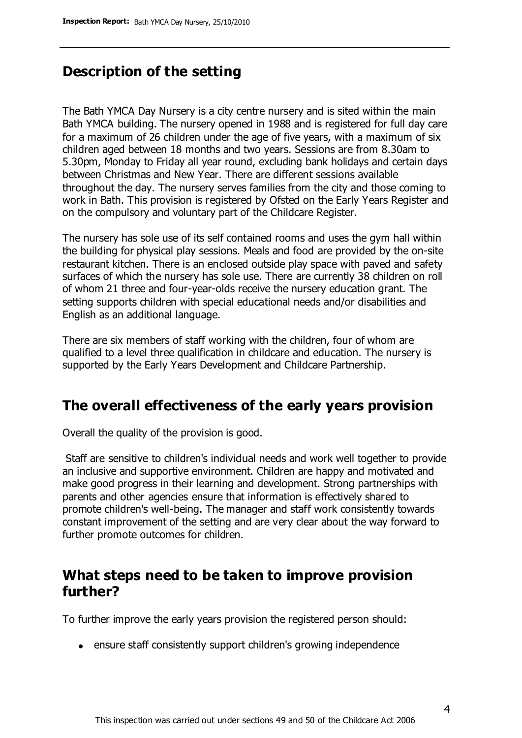### **Description of the setting**

The Bath YMCA Day Nursery is a city centre nursery and is sited within the main Bath YMCA building. The nursery opened in 1988 and is registered for full day care for a maximum of 26 children under the age of five years, with a maximum of six children aged between 18 months and two years. Sessions are from 8.30am to 5.30pm, Monday to Friday all year round, excluding bank holidays and certain days between Christmas and New Year. There are different sessions available throughout the day. The nursery serves families from the city and those coming to work in Bath. This provision is registered by Ofsted on the Early Years Register and on the compulsory and voluntary part of the Childcare Register.

The nursery has sole use of its self contained rooms and uses the gym hall within the building for physical play sessions. Meals and food are provided by the on-site restaurant kitchen. There is an enclosed outside play space with paved and safety surfaces of which the nursery has sole use. There are currently 38 children on roll of whom 21 three and four-year-olds receive the nursery education grant. The setting supports children with special educational needs and/or disabilities and English as an additional language.

There are six members of staff working with the children, four of whom are qualified to a level three qualification in childcare and education. The nursery is supported by the Early Years Development and Childcare Partnership.

### **The overall effectiveness of the early years provision**

Overall the quality of the provision is good.

Staff are sensitive to children's individual needs and work well together to provide an inclusive and supportive environment. Children are happy and motivated and make good progress in their learning and development. Strong partnerships with parents and other agencies ensure that information is effectively shared to promote children's well-being. The manager and staff work consistently towards constant improvement of the setting and are very clear about the way forward to further promote outcomes for children.

### **What steps need to be taken to improve provision further?**

To further improve the early years provision the registered person should:

• ensure staff consistently support children's growing independence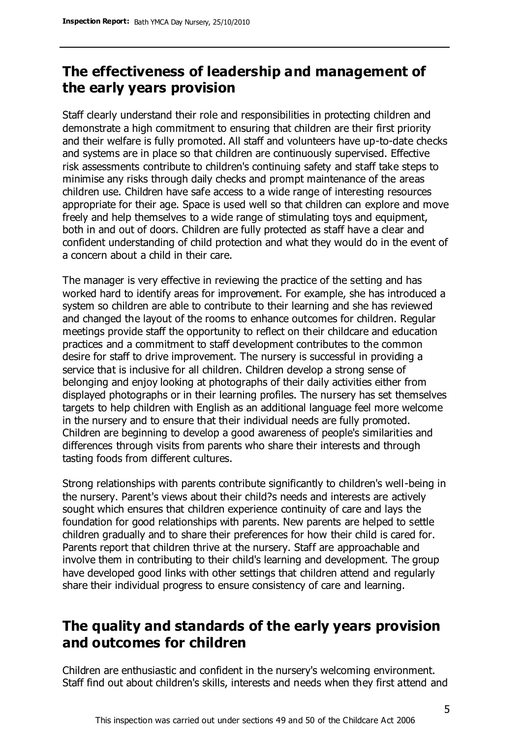### **The effectiveness of leadership and management of the early years provision**

Staff clearly understand their role and responsibilities in protecting children and demonstrate a high commitment to ensuring that children are their first priority and their welfare is fully promoted. All staff and volunteers have up-to-date checks and systems are in place so that children are continuously supervised. Effective risk assessments contribute to children's continuing safety and staff take steps to minimise any risks through daily checks and prompt maintenance of the areas children use. Children have safe access to a wide range of interesting resources appropriate for their age. Space is used well so that children can explore and move freely and help themselves to a wide range of stimulating toys and equipment, both in and out of doors. Children are fully protected as staff have a clear and confident understanding of child protection and what they would do in the event of a concern about a child in their care.

The manager is very effective in reviewing the practice of the setting and has worked hard to identify areas for improvement. For example, she has introduced a system so children are able to contribute to their learning and she has reviewed and changed the layout of the rooms to enhance outcomes for children. Regular meetings provide staff the opportunity to reflect on their childcare and education practices and a commitment to staff development contributes to the common desire for staff to drive improvement. The nursery is successful in providing a service that is inclusive for all children. Children develop a strong sense of belonging and enjoy looking at photographs of their daily activities either from displayed photographs or in their learning profiles. The nursery has set themselves targets to help children with English as an additional language feel more welcome in the nursery and to ensure that their individual needs are fully promoted. Children are beginning to develop a good awareness of people's similarities and differences through visits from parents who share their interests and through tasting foods from different cultures.

Strong relationships with parents contribute significantly to children's well-being in the nursery. Parent's views about their child?s needs and interests are actively sought which ensures that children experience continuity of care and lays the foundation for good relationships with parents. New parents are helped to settle children gradually and to share their preferences for how their child is cared for. Parents report that children thrive at the nursery. Staff are approachable and involve them in contributing to their child's learning and development. The group have developed good links with other settings that children attend and regularly share their individual progress to ensure consistency of care and learning.

### **The quality and standards of the early years provision and outcomes for children**

Children are enthusiastic and confident in the nursery's welcoming environment. Staff find out about children's skills, interests and needs when they first attend and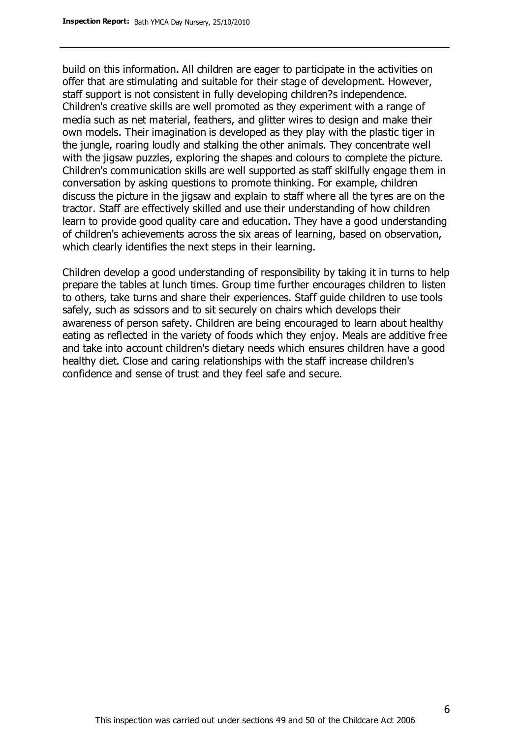build on this information. All children are eager to participate in the activities on offer that are stimulating and suitable for their stage of development. However, staff support is not consistent in fully developing children?s independence. Children's creative skills are well promoted as they experiment with a range of media such as net material, feathers, and glitter wires to design and make their own models. Their imagination is developed as they play with the plastic tiger in the jungle, roaring loudly and stalking the other animals. They concentrate well with the jigsaw puzzles, exploring the shapes and colours to complete the picture. Children's communication skills are well supported as staff skilfully engage them in conversation by asking questions to promote thinking. For example, children discuss the picture in the jigsaw and explain to staff where all the tyres are on the tractor. Staff are effectively skilled and use their understanding of how children learn to provide good quality care and education. They have a good understanding of children's achievements across the six areas of learning, based on observation, which clearly identifies the next steps in their learning.

Children develop a good understanding of responsibility by taking it in turns to help prepare the tables at lunch times. Group time further encourages children to listen to others, take turns and share their experiences. Staff guide children to use tools safely, such as scissors and to sit securely on chairs which develops their awareness of person safety. Children are being encouraged to learn about healthy eating as reflected in the variety of foods which they enjoy. Meals are additive free and take into account children's dietary needs which ensures children have a good healthy diet. Close and caring relationships with the staff increase children's confidence and sense of trust and they feel safe and secure.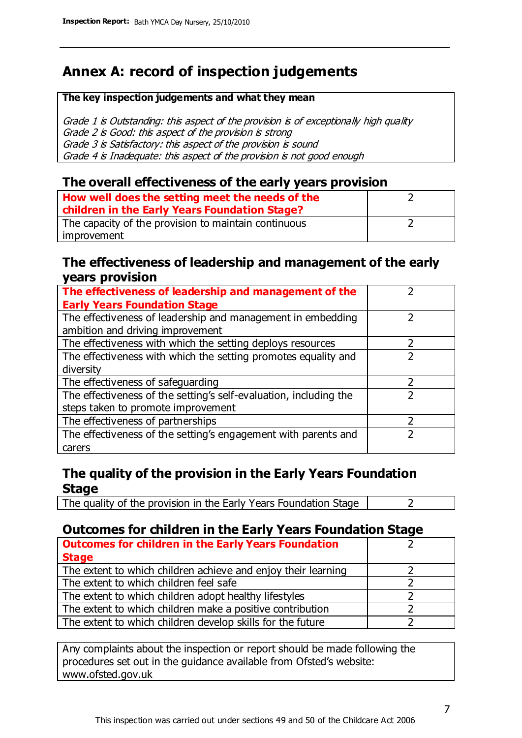### **Annex A: record of inspection judgements**

#### **The key inspection judgements and what they mean**

Grade 1 is Outstanding: this aspect of the provision is of exceptionally high quality Grade 2 is Good: this aspect of the provision is strong Grade 3 is Satisfactory: this aspect of the provision is sound Grade 4 is Inadequate: this aspect of the provision is not good enough

#### **The overall effectiveness of the early years provision**

| How well does the setting meet the needs of the<br>children in the Early Years Foundation Stage? |  |
|--------------------------------------------------------------------------------------------------|--|
| The capacity of the provision to maintain continuous                                             |  |
| improvement                                                                                      |  |

#### **The effectiveness of leadership and management of the early years provision**

| The effectiveness of leadership and management of the             |  |
|-------------------------------------------------------------------|--|
| <b>Early Years Foundation Stage</b>                               |  |
| The effectiveness of leadership and management in embedding       |  |
| ambition and driving improvement                                  |  |
| The effectiveness with which the setting deploys resources        |  |
| The effectiveness with which the setting promotes equality and    |  |
| diversity                                                         |  |
| The effectiveness of safeguarding                                 |  |
| The effectiveness of the setting's self-evaluation, including the |  |
| steps taken to promote improvement                                |  |
| The effectiveness of partnerships                                 |  |
| The effectiveness of the setting's engagement with parents and    |  |
| carers                                                            |  |

#### **The quality of the provision in the Early Years Foundation Stage**

The quality of the provision in the Early Years Foundation Stage  $\vert$  2

### **Outcomes for children in the Early Years Foundation Stage**

| <b>Outcomes for children in the Early Years Foundation</b>    |  |
|---------------------------------------------------------------|--|
| <b>Stage</b>                                                  |  |
| The extent to which children achieve and enjoy their learning |  |
| The extent to which children feel safe                        |  |
| The extent to which children adopt healthy lifestyles         |  |
| The extent to which children make a positive contribution     |  |
| The extent to which children develop skills for the future    |  |

Any complaints about the inspection or report should be made following the procedures set out in the guidance available from Ofsted's website: www.ofsted.gov.uk